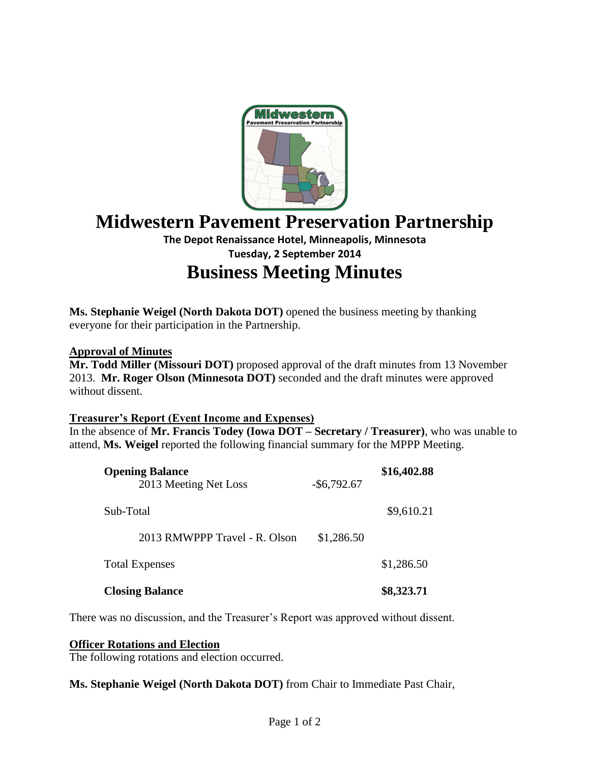

# **Midwestern Pavement Preservation Partnership**

# **The Depot Renaissance Hotel, Minneapolis, Minnesota Tuesday, 2 September 2014**

# **Business Meeting Minutes**

**Ms. Stephanie Weigel (North Dakota DOT)** opened the business meeting by thanking everyone for their participation in the Partnership.

## **Approval of Minutes**

**Mr. Todd Miller (Missouri DOT)** proposed approval of the draft minutes from 13 November 2013. **Mr. Roger Olson (Minnesota DOT)** seconded and the draft minutes were approved without dissent.

# **Treasurer's Report (Event Income and Expenses)**

In the absence of **Mr. Francis Todey (Iowa DOT – Secretary / Treasurer)**, who was unable to attend, **Ms. Weigel** reported the following financial summary for the MPPP Meeting.

| <b>Closing Balance</b>                          |                | \$8,323.71  |
|-------------------------------------------------|----------------|-------------|
| <b>Total Expenses</b>                           |                | \$1,286.50  |
| 2013 RMWPPP Travel - R. Olson                   | \$1,286.50     |             |
| Sub-Total                                       |                | \$9,610.21  |
| <b>Opening Balance</b><br>2013 Meeting Net Loss | $-$ \$6,792.67 | \$16,402.88 |

There was no discussion, and the Treasurer's Report was approved without dissent.

#### **Officer Rotations and Election**

The following rotations and election occurred.

**Ms. Stephanie Weigel (North Dakota DOT)** from Chair to Immediate Past Chair,